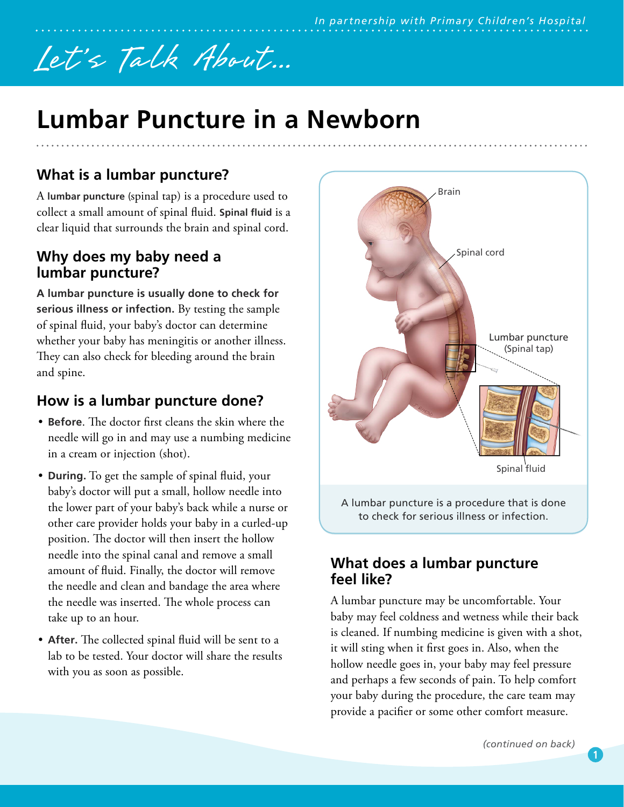# Let's Talk About...

## **Lumbar Puncture in a Newborn**

### **What is a lumbar puncture?**

A **lumbar puncture** (spinal tap) is a procedure used to collect a small amount of spinal fluid. **Spinal fluid** is a clear liquid that surrounds the brain and spinal cord.

#### **Why does my baby need a lumbar puncture?**

**A lumbar puncture is usually done to check for serious illness or infection.** By testing the sample of spinal fluid, your baby's doctor can determine whether your baby has meningitis or another illness. They can also check for bleeding around the brain and spine.

#### **How is a lumbar puncture done?**

- **Before**. The doctor first cleans the skin where the needle will go in and may use a numbing medicine in a cream or injection (shot).
- **During.** To get the sample of spinal fluid, your baby's doctor will put a small, hollow needle into the lower part of your baby's back while a nurse or other care provider holds your baby in a curled-up position. The doctor will then insert the hollow needle into the spinal canal and remove a small amount of fluid. Finally, the doctor will remove the needle and clean and bandage the area where the needle was inserted. The whole process can take up to an hour.
- **After.** The collected spinal fluid will be sent to a lab to be tested. Your doctor will share the results with you as soon as possible.



to check for serious illness or infection.

#### **What does a lumbar puncture feel like?**

A lumbar puncture may be uncomfortable. Your baby may feel coldness and wetness while their back is cleaned. If numbing medicine is given with a shot, it will sting when it first goes in. Also, when the hollow needle goes in, your baby may feel pressure and perhaps a few seconds of pain. To help comfort your baby during the procedure, the care team may provide a pacifier or some other comfort measure.

**1**